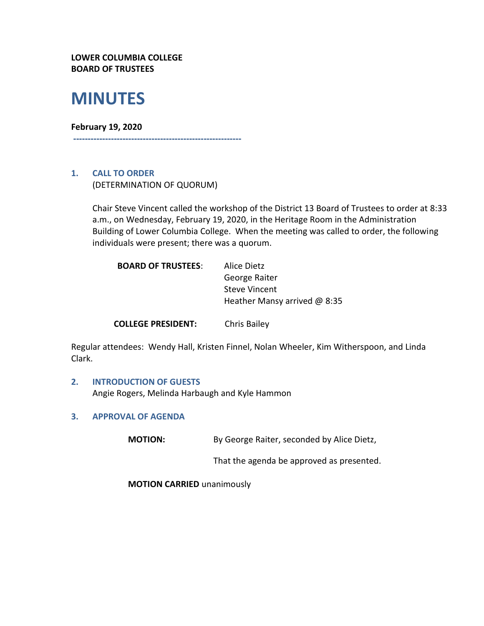**LOWER COLUMBIA COLLEGE BOARD OF TRUSTEES**

# **MINUTES**

#### **February 19, 2020**

**----------------------------------------------------------**

## **1. CALL TO ORDER**

(DETERMINATION OF QUORUM)

Chair Steve Vincent called the workshop of the District 13 Board of Trustees to order at 8:33 a.m., on Wednesday, February 19, 2020, in the Heritage Room in the Administration Building of Lower Columbia College. When the meeting was called to order, the following individuals were present; there was a quorum.

| <b>BOARD OF TRUSTEES:</b> | Alice Dietz                    |
|---------------------------|--------------------------------|
|                           | George Raiter                  |
|                           | <b>Steve Vincent</b>           |
|                           | Heather Mansy arrived $@$ 8:35 |
|                           |                                |

**COLLEGE PRESIDENT:** Chris Bailey

Regular attendees: Wendy Hall, Kristen Finnel, Nolan Wheeler, Kim Witherspoon, and Linda Clark.

## **2. INTRODUCTION OF GUESTS**  Angie Rogers, Melinda Harbaugh and Kyle Hammon

#### **3. APPROVAL OF AGENDA**

**MOTION:** By George Raiter, seconded by Alice Dietz,

That the agenda be approved as presented.

**MOTION CARRIED** unanimously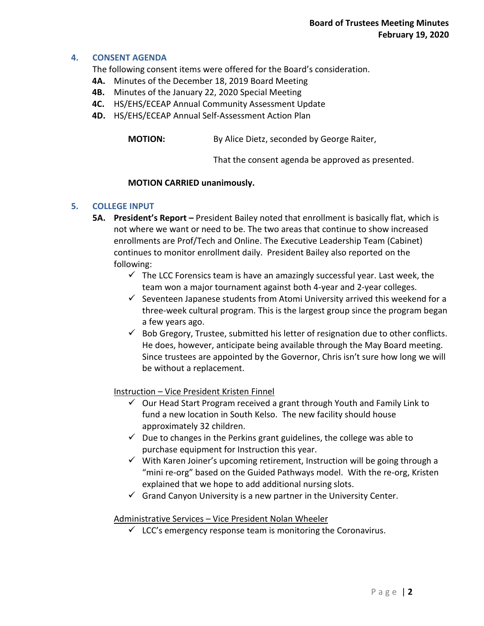## **4. CONSENT AGENDA**

The following consent items were offered for the Board's consideration.

- **4A.** Minutes of the December 18, 2019 Board Meeting
- **4B.** Minutes of the January 22, 2020 Special Meeting
- **4C.** HS/EHS/ECEAP Annual Community Assessment Update
- **4D.** HS/EHS/ECEAP Annual Self-Assessment Action Plan

**MOTION:** By Alice Dietz, seconded by George Raiter,

That the consent agenda be approved as presented.

#### **MOTION CARRIED unanimously.**

#### **5. COLLEGE INPUT**

- **5A. President's Report –** President Bailey noted that enrollment is basically flat, which is not where we want or need to be. The two areas that continue to show increased enrollments are Prof/Tech and Online. The Executive Leadership Team (Cabinet) continues to monitor enrollment daily. President Bailey also reported on the following:
	- $\checkmark$  The LCC Forensics team is have an amazingly successful year. Last week, the team won a major tournament against both 4-year and 2-year colleges.
	- $\checkmark$  Seventeen Japanese students from Atomi University arrived this weekend for a three-week cultural program. This is the largest group since the program began a few years ago.
	- $\checkmark$  Bob Gregory, Trustee, submitted his letter of resignation due to other conflicts. He does, however, anticipate being available through the May Board meeting. Since trustees are appointed by the Governor, Chris isn't sure how long we will be without a replacement.

#### Instruction – Vice President Kristen Finnel

- $\checkmark$  Our Head Start Program received a grant through Youth and Family Link to fund a new location in South Kelso. The new facility should house approximately 32 children.
- $\checkmark$  Due to changes in the Perkins grant guidelines, the college was able to purchase equipment for Instruction this year.
- $\checkmark$  With Karen Joiner's upcoming retirement, Instruction will be going through a "mini re-org" based on the Guided Pathways model. With the re-org, Kristen explained that we hope to add additional nursing slots.
- $\checkmark$  Grand Canyon University is a new partner in the University Center.

#### Administrative Services – Vice President Nolan Wheeler

 $\checkmark$  LCC's emergency response team is monitoring the Coronavirus.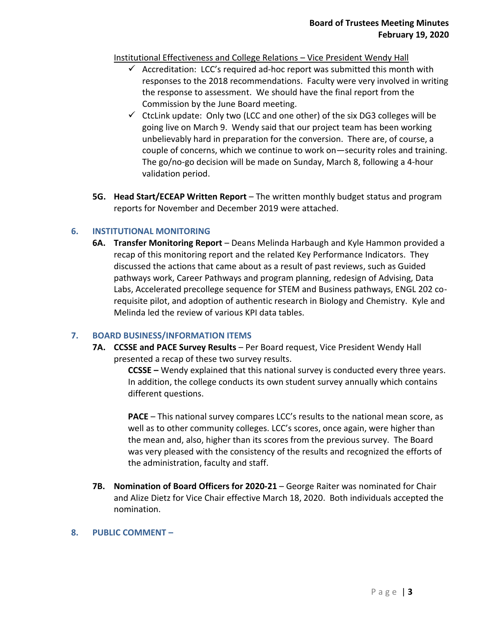## Institutional Effectiveness and College Relations – Vice President Wendy Hall

- $\checkmark$  Accreditation: LCC's required ad-hoc report was submitted this month with responses to the 2018 recommendations. Faculty were very involved in writing the response to assessment. We should have the final report from the Commission by the June Board meeting.
- $\checkmark$  CtcLink update: Only two (LCC and one other) of the six DG3 colleges will be going live on March 9. Wendy said that our project team has been working unbelievably hard in preparation for the conversion. There are, of course, a couple of concerns, which we continue to work on—security roles and training. The go/no-go decision will be made on Sunday, March 8, following a 4-hour validation period.
- **5G. Head Start/ECEAP Written Report** The written monthly budget status and program reports for November and December 2019 were attached.

## **6. INSTITUTIONAL MONITORING**

**6A. Transfer Monitoring Report** – Deans Melinda Harbaugh and Kyle Hammon provided a recap of this monitoring report and the related Key Performance Indicators. They discussed the actions that came about as a result of past reviews, such as Guided pathways work, Career Pathways and program planning, redesign of Advising, Data Labs, Accelerated precollege sequence for STEM and Business pathways, ENGL 202 corequisite pilot, and adoption of authentic research in Biology and Chemistry. Kyle and Melinda led the review of various KPI data tables.

#### **7. BOARD BUSINESS/INFORMATION ITEMS**

**7A. CCSSE and PACE Survey Results** – Per Board request, Vice President Wendy Hall presented a recap of these two survey results.

> **CCSSE –** Wendy explained that this national survey is conducted every three years. In addition, the college conducts its own student survey annually which contains different questions.

> **PACE** – This national survey compares LCC's results to the national mean score, as well as to other community colleges. LCC's scores, once again, were higher than the mean and, also, higher than its scores from the previous survey. The Board was very pleased with the consistency of the results and recognized the efforts of the administration, faculty and staff.

- **7B. Nomination of Board Officers for 2020-21** George Raiter was nominated for Chair and Alize Dietz for Vice Chair effective March 18, 2020. Both individuals accepted the nomination.
- **8. PUBLIC COMMENT –**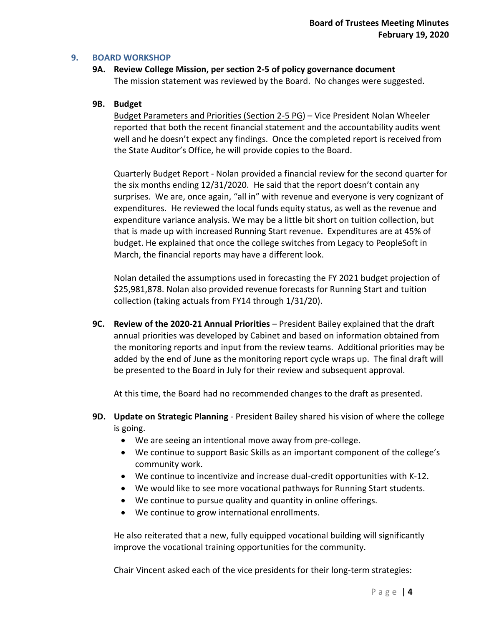#### **9. BOARD WORKSHOP**

**9A. Review College Mission, per section 2-5 of policy governance document** The mission statement was reviewed by the Board. No changes were suggested.

#### **9B. Budget**

Budget Parameters and Priorities (Section 2-5 PG) – Vice President Nolan Wheeler reported that both the recent financial statement and the accountability audits went well and he doesn't expect any findings. Once the completed report is received from the State Auditor's Office, he will provide copies to the Board.

Quarterly Budget Report - Nolan provided a financial review for the second quarter for the six months ending 12/31/2020. He said that the report doesn't contain any surprises. We are, once again, "all in" with revenue and everyone is very cognizant of expenditures. He reviewed the local funds equity status, as well as the revenue and expenditure variance analysis. We may be a little bit short on tuition collection, but that is made up with increased Running Start revenue. Expenditures are at 45% of budget. He explained that once the college switches from Legacy to PeopleSoft in March, the financial reports may have a different look.

Nolan detailed the assumptions used in forecasting the FY 2021 budget projection of \$25,981,878. Nolan also provided revenue forecasts for Running Start and tuition collection (taking actuals from FY14 through 1/31/20).

**9C. Review of the 2020-21 Annual Priorities** – President Bailey explained that the draft annual priorities was developed by Cabinet and based on information obtained from the monitoring reports and input from the review teams. Additional priorities may be added by the end of June as the monitoring report cycle wraps up. The final draft will be presented to the Board in July for their review and subsequent approval.

At this time, the Board had no recommended changes to the draft as presented.

- **9D. Update on Strategic Planning** President Bailey shared his vision of where the college is going.
	- We are seeing an intentional move away from pre-college.
	- We continue to support Basic Skills as an important component of the college's community work.
	- We continue to incentivize and increase dual-credit opportunities with K-12.
	- We would like to see more vocational pathways for Running Start students.
	- We continue to pursue quality and quantity in online offerings.
	- We continue to grow international enrollments.

He also reiterated that a new, fully equipped vocational building will significantly improve the vocational training opportunities for the community.

Chair Vincent asked each of the vice presidents for their long-term strategies: